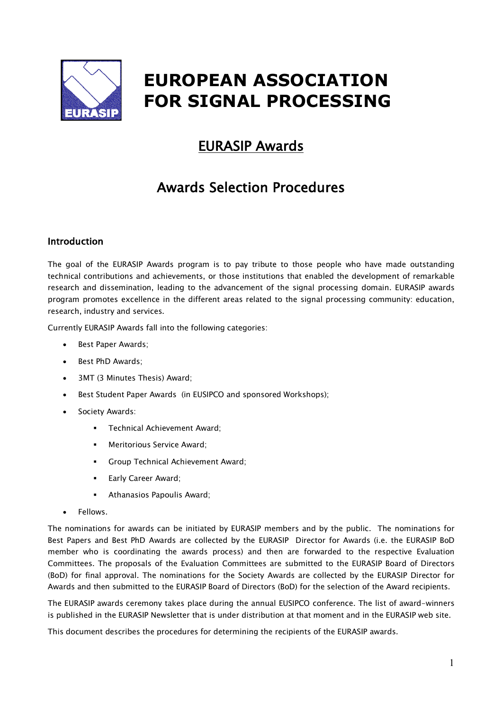

# **EUROPEAN ASSOCIATION FOR SIGNAL PROCESSING**

# EURASIP Awards

# Awards Selection Procedures

# Introduction

The goal of the EURASIP Awards program is to pay tribute to those people who have made outstanding technical contributions and achievements, or those institutions that enabled the development of remarkable research and dissemination, leading to the advancement of the signal processing domain. EURASIP awards program promotes excellence in the different areas related to the signal processing community: education, research, industry and services.

Currently EURASIP Awards fall into the following categories:

- Best Paper Awards;
- Best PhD Awards;
- 3MT (3 Minutes Thesis) Award;
- Best Student Paper Awards (in EUSIPCO and sponsored Workshops);
- Society Awards:
	- § Technical Achievement Award;
	- § Meritorious Service Award;
	- § Group Technical Achievement Award;
	- Early Career Award;
	- § Athanasios Papoulis Award;
- Fellows.

The nominations for awards can be initiated by EURASIP members and by the public. The nominations for Best Papers and Best PhD Awards are collected by the EURASIP Director for Awards (i.e. the EURASIP BoD member who is coordinating the awards process) and then are forwarded to the respective Evaluation Committees. The proposals of the Evaluation Committees are submitted to the EURASIP Board of Directors (BoD) for final approval. The nominations for the Society Awards are collected by the EURASIP Director for Awards and then submitted to the EURASIP Board of Directors (BoD) for the selection of the Award recipients.

The EURASIP awards ceremony takes place during the annual EUSIPCO conference. The list of award-winners is published in the EURASIP Newsletter that is under distribution at that moment and in the EURASIP web site.

This document describes the procedures for determining the recipients of the EURASIP awards.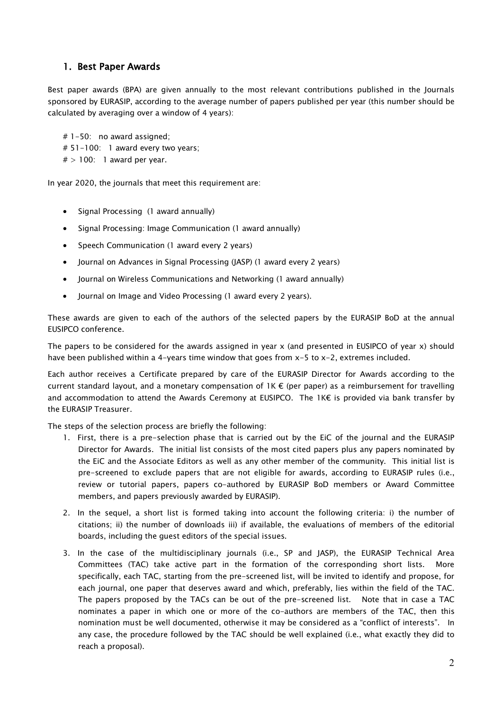# 1. Best Paper Awards

Best paper awards (BPA) are given annually to the most relevant contributions published in the Journals sponsored by EURASIP, according to the average number of papers published per year (this number should be calculated by averaging over a window of 4 years):

# 1-50: no award assigned; # 51-100: 1 award every two years;  $#$  > 100: 1 award per year.

In year 2020, the journals that meet this requirement are:

- Signal Processing (1 award annually)
- Signal Processing: Image Communication (1 award annually)
- Speech Communication (1 award every 2 years)
- Journal on Advances in Signal Processing (JASP) (1 award every 2 years)
- Journal on Wireless Communications and Networking (1 award annually)
- Journal on Image and Video Processing (1 award every 2 years).

These awards are given to each of the authors of the selected papers by the EURASIP BoD at the annual EUSIPCO conference.

The papers to be considered for the awards assigned in year x (and presented in EUSIPCO of year x) should have been published within a 4-years time window that goes from x-5 to x-2, extremes included.

Each author receives a Certificate prepared by care of the EURASIP Director for Awards according to the current standard layout, and a monetary compensation of  $1K \in (per paper)$  as a reimbursement for travelling and accommodation to attend the Awards Ceremony at EUSIPCO. The 1K€ is provided via bank transfer by the EURASIP Treasurer.

The steps of the selection process are briefly the following:

- 1. First, there is a pre-selection phase that is carried out by the EiC of the journal and the EURASIP Director for Awards. The initial list consists of the most cited papers plus any papers nominated by the EiC and the Associate Editors as well as any other member of the community. This initial list is pre-screened to exclude papers that are not eligible for awards, according to EURASIP rules (i.e., review or tutorial papers, papers co-authored by EURASIP BoD members or Award Committee members, and papers previously awarded by EURASIP).
- 2. In the sequel, a short list is formed taking into account the following criteria: i) the number of citations; ii) the number of downloads iii) if available, the evaluations of members of the editorial boards, including the guest editors of the special issues.
- 3. In the case of the multidisciplinary journals (i.e., SP and JASP), the EURASIP Technical Area Committees (TAC) take active part in the formation of the corresponding short lists. More specifically, each TAC, starting from the pre-screened list, will be invited to identify and propose, for each journal, one paper that deserves award and which, preferably, lies within the field of the TAC. The papers proposed by the TACs can be out of the pre-screened list. Note that in case a TAC nominates a paper in which one or more of the co-authors are members of the TAC, then this nomination must be well documented, otherwise it may be considered as a "conflict of interests". In any case, the procedure followed by the TAC should be well explained (i.e., what exactly they did to reach a proposal).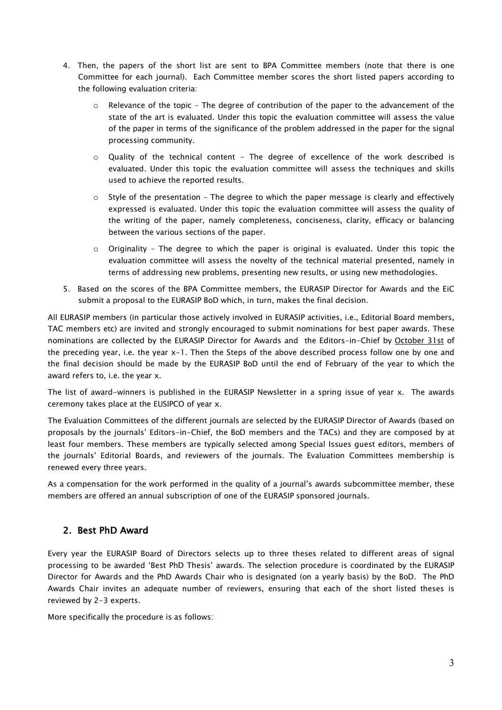- 4. Then, the papers of the short list are sent to BPA Committee members (note that there is one Committee for each journal). Each Committee member scores the short listed papers according to the following evaluation criteria:
	- o Relevance of the topic The degree of contribution of the paper to the advancement of the state of the art is evaluated. Under this topic the evaluation committee will assess the value of the paper in terms of the significance of the problem addressed in the paper for the signal processing community.
	- o Quality of the technical content The degree of excellence of the work described is evaluated. Under this topic the evaluation committee will assess the techniques and skills used to achieve the reported results.
	- $\circ$  Style of the presentation The degree to which the paper message is clearly and effectively expressed is evaluated. Under this topic the evaluation committee will assess the quality of the writing of the paper, namely completeness, conciseness, clarity, efficacy or balancing between the various sections of the paper.
	- $\circ$  Originality The degree to which the paper is original is evaluated. Under this topic the evaluation committee will assess the novelty of the technical material presented, namely in terms of addressing new problems, presenting new results, or using new methodologies.
- 5. Based on the scores of the BPA Committee members, the EURASIP Director for Awards and the EiC submit a proposal to the EURASIP BoD which, in turn, makes the final decision.

All EURASIP members (in particular those actively involved in EURASIP activities, i.e., Editorial Board members, TAC members etc) are invited and strongly encouraged to submit nominations for best paper awards. These nominations are collected by the EURASIP Director for Awards and the Editors-in-Chief by October 31st of the preceding year, i.e. the year x-1. Then the Steps of the above described process follow one by one and the final decision should be made by the EURASIP BoD until the end of February of the year to which the award refers to, i.e. the year x.

The list of award-winners is published in the EURASIP Newsletter in a spring issue of year x. The awards ceremony takes place at the EUSIPCO of year x.

The Evaluation Committees of the different journals are selected by the EURASIP Director of Awards (based on proposals by the journals' Editors-in-Chief, the BoD members and the TACs) and they are composed by at least four members. These members are typically selected among Special Issues guest editors, members of the journals' Editorial Boards, and reviewers of the journals. The Evaluation Committees membership is renewed every three years.

As a compensation for the work performed in the quality of a journal's awards subcommittee member, these members are offered an annual subscription of one of the EURASIP sponsored journals.

# 2. Best PhD Award

Every year the EURASIP Board of Directors selects up to three theses related to different areas of signal processing to be awarded 'Best PhD Thesis' awards. The selection procedure is coordinated by the EURASIP Director for Awards and the PhD Awards Chair who is designated (on a yearly basis) by the BoD. The PhD Awards Chair invites an adequate number of reviewers, ensuring that each of the short listed theses is reviewed by 2-3 experts.

More specifically the procedure is as follows: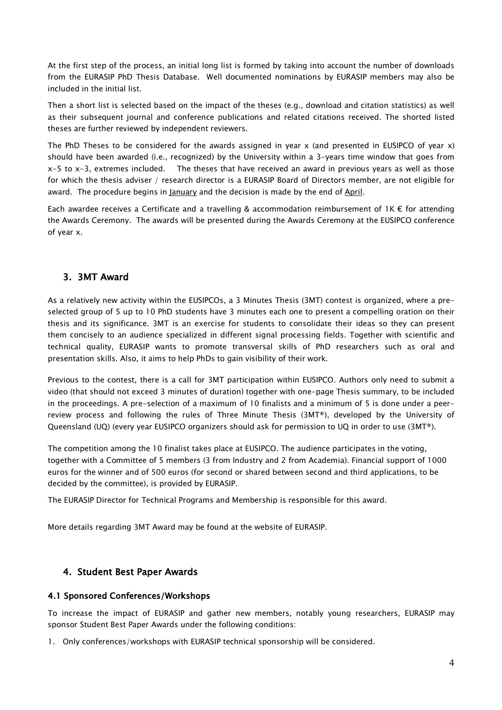At the first step of the process, an initial long list is formed by taking into account the number of downloads from the EURASIP PhD Thesis Database. Well documented nominations by EURASIP members may also be included in the initial list.

Then a short list is selected based on the impact of the theses (e.g., download and citation statistics) as well as their subsequent journal and conference publications and related citations received. The shorted listed theses are further reviewed by independent reviewers.

The PhD Theses to be considered for the awards assigned in year x (and presented in EUSIPCO of year x) should have been awarded (i.e., recognized) by the University within a 3-years time window that goes from  $x-5$  to  $x-3$ , extremes included. The theses that have received an award in previous years as well as those for which the thesis adviser / research director is a EURASIP Board of Directors member, are not eligible for award. The procedure begins in January and the decision is made by the end of April.

Each awardee receives a Certificate and a travelling & accommodation reimbursement of 1K € for attending the Awards Ceremony. The awards will be presented during the Awards Ceremony at the EUSIPCO conference of year x.

# 3. 3MT Award

As a relatively new activity within the EUSIPCOs, a 3 Minutes Thesis (3MT) contest is organized, where a preselected group of 5 up to 10 PhD students have 3 minutes each one to present a compelling oration on their thesis and its significance. 3MT is an exercise for students to consolidate their ideas so they can present them concisely to an audience specialized in different signal processing fields. Together with scientific and technical quality, EURASIP wants to promote transversal skills of PhD researchers such as oral and presentation skills. Also, it aims to help PhDs to gain visibility of their work.

Previous to the contest, there is a call for 3MT participation within EUSIPCO. Authors only need to submit a video (that should not exceed 3 minutes of duration) together with one-page Thesis summary, to be included in the proceedings. A pre-selection of a maximum of 10 finalists and a minimum of 5 is done under a peerreview process and following the rules of Three Minute Thesis (3MT®), developed by the University of Queensland (UQ) (every year EUSIPCO organizers should ask for permission to UQ in order to use (3MT®).

The competition among the 10 finalist takes place at EUSIPCO. The audience participates in the voting, together with a Committee of 5 members (3 from Industry and 2 from Academia). Financial support of 1000 euros for the winner and of 500 euros (for second or shared between second and third applications, to be decided by the committee), is provided by EURASIP.

The EURASIP Director for Technical Programs and Membership is responsible for this award.

More details regarding 3MT Award may be found at the website of EURASIP.

# 4. Student Best Paper Awards

#### 4.1 Sponsored Conferences/Workshops

To increase the impact of EURASIP and gather new members, notably young researchers, EURASIP may sponsor Student Best Paper Awards under the following conditions:

1. Only conferences/workshops with EURASIP technical sponsorship will be considered.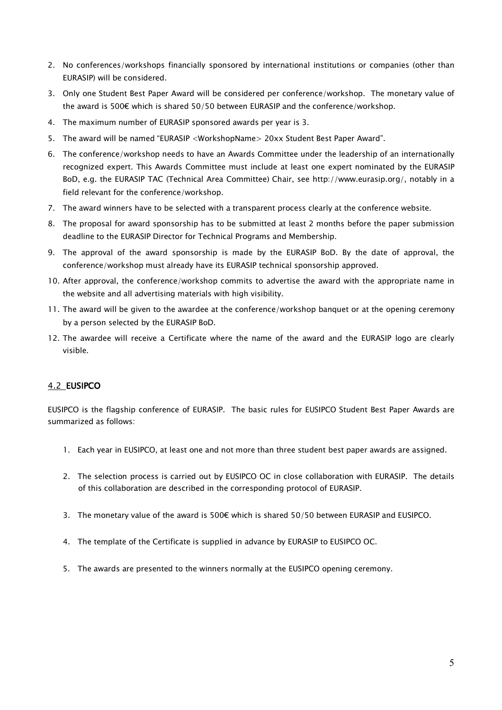- 2. No conferences/workshops financially sponsored by international institutions or companies (other than EURASIP) will be considered.
- 3. Only one Student Best Paper Award will be considered per conference/workshop. The monetary value of the award is 500€ which is shared 50/50 between EURASIP and the conference/workshop.
- 4. The maximum number of EURASIP sponsored awards per year is 3.
- 5. The award will be named "EURASIP <WorkshopName> 20xx Student Best Paper Award".
- 6. The conference/workshop needs to have an Awards Committee under the leadership of an internationally recognized expert. This Awards Committee must include at least one expert nominated by the EURASIP BoD, e.g. the EURASIP TAC (Technical Area Committee) Chair, see http://www.eurasip.org/, notably in a field relevant for the conference/workshop.
- 7. The award winners have to be selected with a transparent process clearly at the conference website.
- 8. The proposal for award sponsorship has to be submitted at least 2 months before the paper submission deadline to the EURASIP Director for Technical Programs and Membership.
- 9. The approval of the award sponsorship is made by the EURASIP BoD. By the date of approval, the conference/workshop must already have its EURASIP technical sponsorship approved.
- 10. After approval, the conference/workshop commits to advertise the award with the appropriate name in the website and all advertising materials with high visibility.
- 11. The award will be given to the awardee at the conference/workshop banquet or at the opening ceremony by a person selected by the EURASIP BoD.
- 12. The awardee will receive a Certificate where the name of the award and the EURASIP logo are clearly visible.

# 4.2 EUSIPCO

EUSIPCO is the flagship conference of EURASIP. Τhe basic rules for EUSIPCO Student Best Paper Awards are summarized as follows:

- 1. Each year in EUSIPCO, at least one and not more than three student best paper awards are assigned.
- 2. The selection process is carried out by EUSIPCO OC in close collaboration with EURASIP. The details of this collaboration are described in the corresponding protocol of EURASIP.
- 3. The monetary value of the award is 500€ which is shared 50/50 between EURASIP and EUSIPCO.
- 4. The template of the Certificate is supplied in advance by EURASIP to EUSIPCO OC.
- 5. The awards are presented to the winners normally at the EUSIPCO opening ceremony.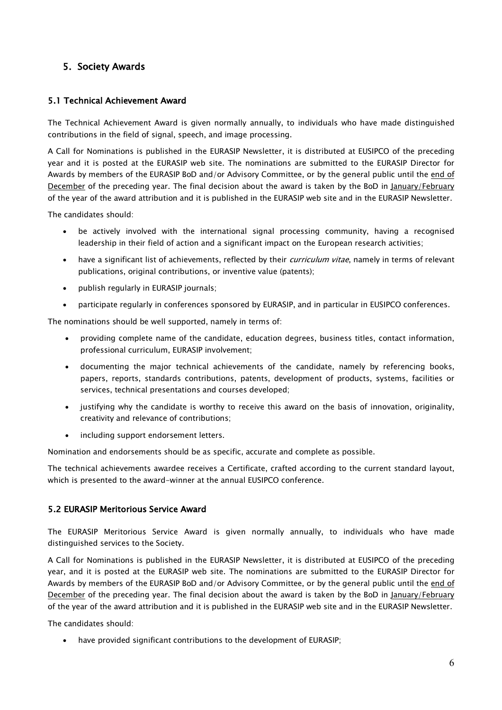# 5. Society Awards

### 5.1 Technical Achievement Award

The Technical Achievement Award is given normally annually, to individuals who have made distinguished contributions in the field of signal, speech, and image processing.

A Call for Nominations is published in the EURASIP Newsletter, it is distributed at EUSIPCO of the preceding year and it is posted at the EURASIP web site. The nominations are submitted to the EURASIP Director for Awards by members of the EURASIP BoD and/or Advisory Committee, or by the general public until the end of December of the preceding year. The final decision about the award is taken by the BoD in January/February of the year of the award attribution and it is published in the EURASIP web site and in the EURASIP Newsletter.

The candidates should:

- be actively involved with the international signal processing community, having a recognised leadership in their field of action and a significant impact on the European research activities;
- have a significant list of achievements, reflected by their *curriculum vitae*, namely in terms of relevant publications, original contributions, or inventive value (patents);
- publish regularly in EURASIP journals;
- participate regularly in conferences sponsored by EURASIP, and in particular in EUSIPCO conferences.

The nominations should be well supported, namely in terms of:

- providing complete name of the candidate, education degrees, business titles, contact information, professional curriculum, EURASIP involvement;
- documenting the major technical achievements of the candidate, namely by referencing books, papers, reports, standards contributions, patents, development of products, systems, facilities or services, technical presentations and courses developed;
- justifying why the candidate is worthy to receive this award on the basis of innovation, originality, creativity and relevance of contributions;
- including support endorsement letters.

Nomination and endorsements should be as specific, accurate and complete as possible.

The technical achievements awardee receives a Certificate, crafted according to the current standard layout, which is presented to the award-winner at the annual EUSIPCO conference.

#### 5.2 EURASIP Meritorious Service Award

The EURASIP Meritorious Service Award is given normally annually, to individuals who have made distinguished services to the Society.

A Call for Nominations is published in the EURASIP Newsletter, it is distributed at EUSIPCO of the preceding year, and it is posted at the EURASIP web site. The nominations are submitted to the EURASIP Director for Awards by members of the EURASIP BoD and/or Advisory Committee, or by the general public until the end of December of the preceding year. The final decision about the award is taken by the BoD in January/February of the year of the award attribution and it is published in the EURASIP web site and in the EURASIP Newsletter.

The candidates should:

• have provided significant contributions to the development of EURASIP;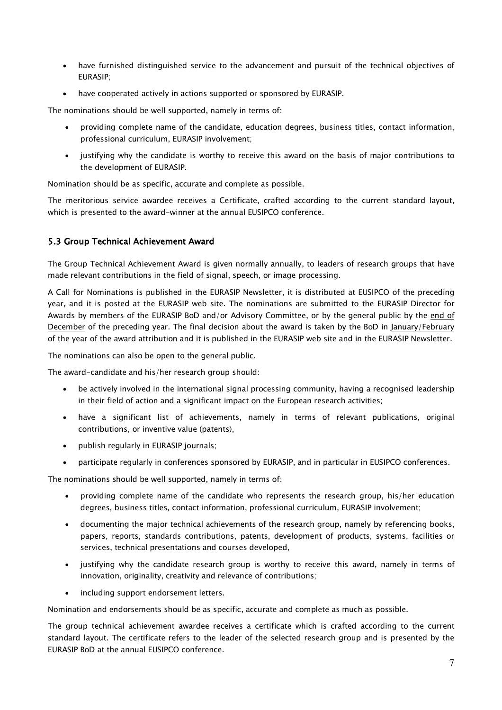- have furnished distinguished service to the advancement and pursuit of the technical objectives of EURASIP;
- have cooperated actively in actions supported or sponsored by EURASIP.

The nominations should be well supported, namely in terms of:

- providing complete name of the candidate, education degrees, business titles, contact information, professional curriculum, EURASIP involvement;
- justifying why the candidate is worthy to receive this award on the basis of major contributions to the development of EURASIP.

Nomination should be as specific, accurate and complete as possible.

The meritorious service awardee receives a Certificate, crafted according to the current standard layout, which is presented to the award-winner at the annual EUSIPCO conference.

#### 5.3 Group Technical Achievement Award

The Group Technical Achievement Award is given normally annually, to leaders of research groups that have made relevant contributions in the field of signal, speech, or image processing.

A Call for Nominations is published in the EURASIP Newsletter, it is distributed at EUSIPCO of the preceding year, and it is posted at the EURASIP web site. The nominations are submitted to the EURASIP Director for Awards by members of the EURASIP BoD and/or Advisory Committee, or by the general public by the end of December of the preceding year. The final decision about the award is taken by the BoD in January/February of the year of the award attribution and it is published in the EURASIP web site and in the EURASIP Newsletter.

The nominations can also be open to the general public.

The award-candidate and his/her research group should:

- be actively involved in the international signal processing community, having a recognised leadership in their field of action and a significant impact on the European research activities;
- have a significant list of achievements, namely in terms of relevant publications, original contributions, or inventive value (patents),
- publish regularly in EURASIP journals;
- participate regularly in conferences sponsored by EURASIP, and in particular in EUSIPCO conferences.

The nominations should be well supported, namely in terms of:

- providing complete name of the candidate who represents the research group, his/her education degrees, business titles, contact information, professional curriculum, EURASIP involvement;
- documenting the major technical achievements of the research group, namely by referencing books, papers, reports, standards contributions, patents, development of products, systems, facilities or services, technical presentations and courses developed,
- justifying why the candidate research group is worthy to receive this award, namely in terms of innovation, originality, creativity and relevance of contributions;
- including support endorsement letters.

Nomination and endorsements should be as specific, accurate and complete as much as possible.

The group technical achievement awardee receives a certificate which is crafted according to the current standard layout. The certificate refers to the leader of the selected research group and is presented by the EURASIP BoD at the annual EUSIPCO conference.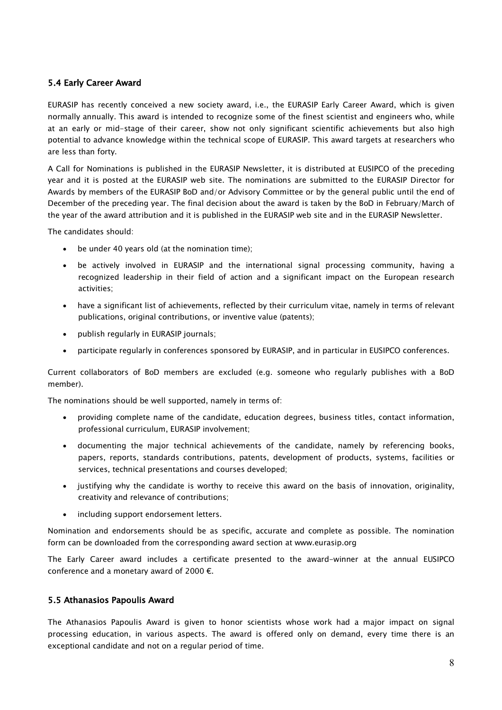#### 5.4 Early Career Award

EURASIP has recently conceived a new society award, i.e., the EURASIP Early Career Award, which is given normally annually. This award is intended to recognize some of the finest scientist and engineers who, while at an early or mid-stage of their career, show not only significant scientific achievements but also high potential to advance knowledge within the technical scope of EURASIP. This award targets at researchers who are less than forty.

A Call for Nominations is published in the EURASIP Newsletter, it is distributed at EUSIPCO of the preceding year and it is posted at the EURASIP web site. The nominations are submitted to the EURASIP Director for Awards by members of the EURASIP BoD and/or Advisory Committee or by the general public until the end of December of the preceding year. The final decision about the award is taken by the BoD in February/March of the year of the award attribution and it is published in the EURASIP web site and in the EURASIP Newsletter.

The candidates should:

- be under 40 years old (at the nomination time);
- be actively involved in EURASIP and the international signal processing community, having a recognized leadership in their field of action and a significant impact on the European research activities;
- have a significant list of achievements, reflected by their curriculum vitae, namely in terms of relevant publications, original contributions, or inventive value (patents);
- publish regularly in EURASIP journals;
- participate regularly in conferences sponsored by EURASIP, and in particular in EUSIPCO conferences.

Current collaborators of BoD members are excluded (e.g. someone who regularly publishes with a BoD member).

The nominations should be well supported, namely in terms of:

- providing complete name of the candidate, education degrees, business titles, contact information, professional curriculum, EURASIP involvement;
- documenting the major technical achievements of the candidate, namely by referencing books, papers, reports, standards contributions, patents, development of products, systems, facilities or services, technical presentations and courses developed;
- justifying why the candidate is worthy to receive this award on the basis of innovation, originality, creativity and relevance of contributions;
- including support endorsement letters.

Nomination and endorsements should be as specific, accurate and complete as possible. The nomination form can be downloaded from the corresponding award section at www.eurasip.org

The Early Career award includes a certificate presented to the award-winner at the annual EUSIPCO conference and a monetary award of 2000  $\epsilon$ .

#### 5.5 Athanasios Papoulis Award

The Athanasios Papoulis Award is given to honor scientists whose work had a major impact on signal processing education, in various aspects. The award is offered only on demand, every time there is an exceptional candidate and not on a regular period of time.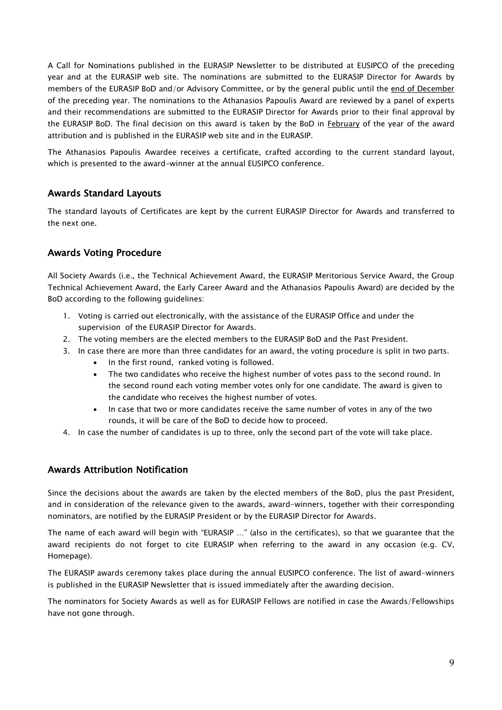A Call for Nominations published in the EURASIP Newsletter to be distributed at EUSIPCO of the preceding year and at the EURASIP web site. The nominations are submitted to the EURASIP Director for Awards by members of the EURASIP BoD and/or Advisory Committee, or by the general public until the end of December of the preceding year. The nominations to the Athanasios Papoulis Award are reviewed by a panel of experts and their recommendations are submitted to the EURASIP Director for Awards prior to their final approval by the EURASIP BoD. The final decision on this award is taken by the BoD in February of the year of the award attribution and is published in the EURASIP web site and in the EURASIP.

The Athanasios Papoulis Awardee receives a certificate, crafted according to the current standard layout, which is presented to the award-winner at the annual EUSIPCO conference.

# Awards Standard Layouts

The standard layouts of Certificates are kept by the current EURASIP Director for Awards and transferred to the next one.

# Awards Voting Procedure

All Society Awards (i.e., the Technical Achievement Award, the EURASIP Meritorious Service Award, the Group Technical Achievement Award, the Early Career Award and the Athanasios Papoulis Award) are decided by the BoD according to the following guidelines:

- 1. Voting is carried out electronically, with the assistance of the EURASIP Office and under the supervision of the EURASIP Director for Awards.
- 2. The voting members are the elected members to the EURASIP BoD and the Past President.
- 3. In case there are more than three candidates for an award, the voting procedure is split in two parts.
	- In the first round, ranked voting is followed.
	- The two candidates who receive the highest number of votes pass to the second round. In the second round each voting member votes only for one candidate. The award is given to the candidate who receives the highest number of votes.
	- In case that two or more candidates receive the same number of votes in any of the two rounds, it will be care of the BoD to decide how to proceed.
- 4. In case the number of candidates is up to three, only the second part of the vote will take place.

# Awards Attribution Notification

Since the decisions about the awards are taken by the elected members of the BoD, plus the past President, and in consideration of the relevance given to the awards, award-winners, together with their corresponding nominators, are notified by the EURASIP President or by the EURASIP Director for Awards.

The name of each award will begin with "EURASIP …" (also in the certificates), so that we guarantee that the award recipients do not forget to cite EURASIP when referring to the award in any occasion (e.g. CV, Homepage).

The EURASIP awards ceremony takes place during the annual EUSIPCO conference. The list of award-winners is published in the EURASIP Newsletter that is issued immediately after the awarding decision.

The nominators for Society Awards as well as for EURASIP Fellows are notified in case the Awards/Fellowships have not gone through.